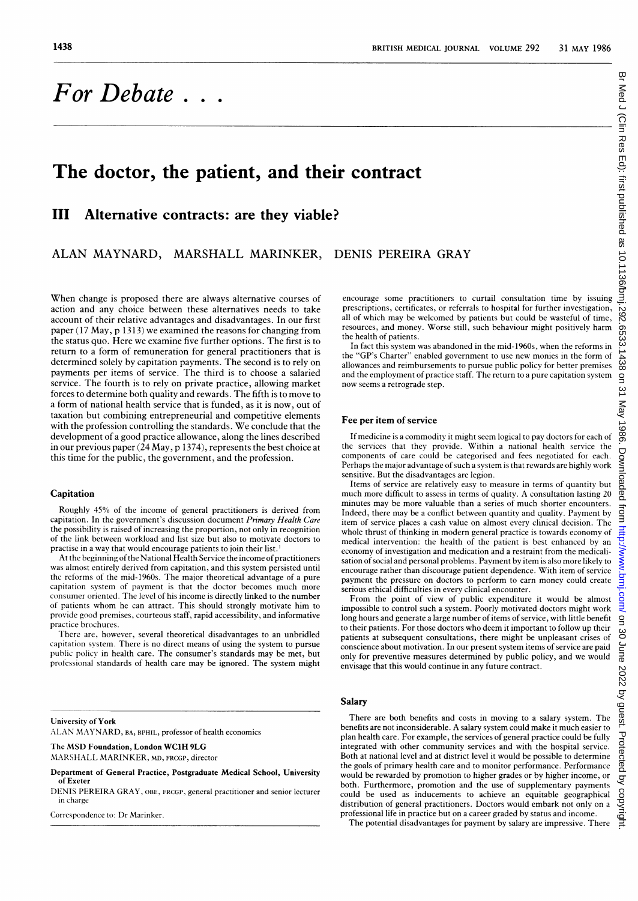# For Debate  $\ldots$

## The doctor, the patient, and their contract

## III Alternative contracts: are they viable?

ALAN MAYNARD, MARSHALL MARINKER, DENIS PEREIRA GRAY

When change is proposed there are always alternative courses of action and any choice between these alternatives needs to take account of their relative advantages and disadvantages. In our first paper (17 May, p 1313) we examined the reasons for changing from the status quo. Here we examine five further options. The first is to return to a form of remuneration for general practitioners that is determined solely by capitation payments. The second is to rely on payments per items of service. The third is to choose a salaried service. The fourth is to rely on private practice, allowing market forces to determine both quality and rewards. The fifth is to move to a form of national health service that is funded, as it is now, out of taxation but combining entrepreneurial and competitive elements with the profession controlling the standards. We conclude that the development of a good practice allowance, along the lines described in our previous paper (24 May, p 1374), represents the best choice at this time for the public, the government, and the profession.

#### Capitation

Roughly 45% of the income of general practitioners is derived from capitation. In the government's discussion document Primary Health Care the possibility is raised of increasing the proportion, not only in recognition of the link between workload and list size but also to motivate doctors to practise in a way that would encourage patients to join their list.'

At the beginning of the National Health Service the income of practitioners was almost entirely derived from capitation, and this system persisted until the reforms of the mid-1960s. The major theoretical advantage of <sup>a</sup> pure capitation system of payment is that the doctor becomes much more consumer oriented. The level of his income is directly linked to the number of patients whom he can attract. This should strongly motivate him to provide good premises, courteous staff, rapid accessibility, and informative practice brochures.

There are, however, several theoretical disadvantages to an unbridled capitation system. There is no direct means of using the system to pursue public police in health care. The consumer's standards may be met, but professional standards of health care may be ignored. The system might

University of York

ALAN MAYNARD, BA, BPHIL, professor of health economics

The MSD Foundation, London WC1H 9LG

MARSHALL MARINKER, MD, FRCGP, director

Department of General Practice, Postgraduate Medical School, University of Exeter

DENIS PEREIRA GRAY, OBE, FRCGP, general practitioner and senior lecturer in charge

Correspondence to: Dr Marinker.

encourage some practitioners to curtail consultation time by issuing prescriptions, certificates, or referrals to hospital for further investigation, all of which may be welcomed by patients but could be wasteful of time, resources, and money. Worse still, such behaviour might positively harm the health of patients.

In fact this system was abandoned in the mid-1960s, when the reforms in the "GP's Charter" enabled government to use new monies in the form of allowances and reimbursements to pursue public policy for better premises and the employment of practice staff. The return to <sup>a</sup> pure capitation system now seems <sup>a</sup> retrograde step.

#### Fee per item of service

If medicine is a commodity it might seem logical to pay doctors for each of the services that they provide. Within a national health service the components of care could be categorised and fees negotiated for each. Perhaps the major advantage of such a system is that rewards are highly work sensitive. But the disadvantages are legion.

Items of service are relatively easy to measure in terms of quantity but much more difficult to assess in terms of quality. A consultation lasting 20 minutes may be more valuable than <sup>a</sup> series of much shorter encounters. Indeed, there may be <sup>a</sup> conflict between quantity and quality. Payment by item of service places a cash value on almost every clinical decision. The whole thrust of thinking in modern general practice is towards economy of medical intervention: the health of the patient is best enhanced by an economy of investigation and medication and a restraint from the medicalisation of social and personal problems. Payment by item is also more likely to encourage rather than discourage patient dependence. With item of service payment the pressure on doctors to perform to earn money could create serious ethical difficulties in every clinical encounter.

From the point of view of public expenditure it would be almost impossible to control such a system. Poorly motivated doctors might work long hours and generate a large number of items of service, with little benefit to their patients. For those doctors who deem it important to follow up their patients at subsequent consultations, there might be unpleasant crises of conscience about motivation. In our present system items of service are paid only for preventive measures determined by public policy, and we would envisage that this would continue in any future contract.

#### **Salary**

There are both benefits and costs in moving to <sup>a</sup> salary system. The benefits are not inconsiderable. A salary system could make it much easier to plan health care. For example, the services of general practice could be fully integrated with other community services and with the hospital service. Both at national level and at district level it would be possible to determine the goals of primary health care and to monitor performance. Performance would be rewarded by promotion to higher grades or by higher income, or both. Furthermore, promotion and the use of supplementary payments could be used as inducements to achieve an equitable geographical distribution of general practitioners. Doctors would embark not only on <sup>a</sup> professional life in practice but on a career graded by status and income.

The potential disadvantages for payment by salary are impressive. There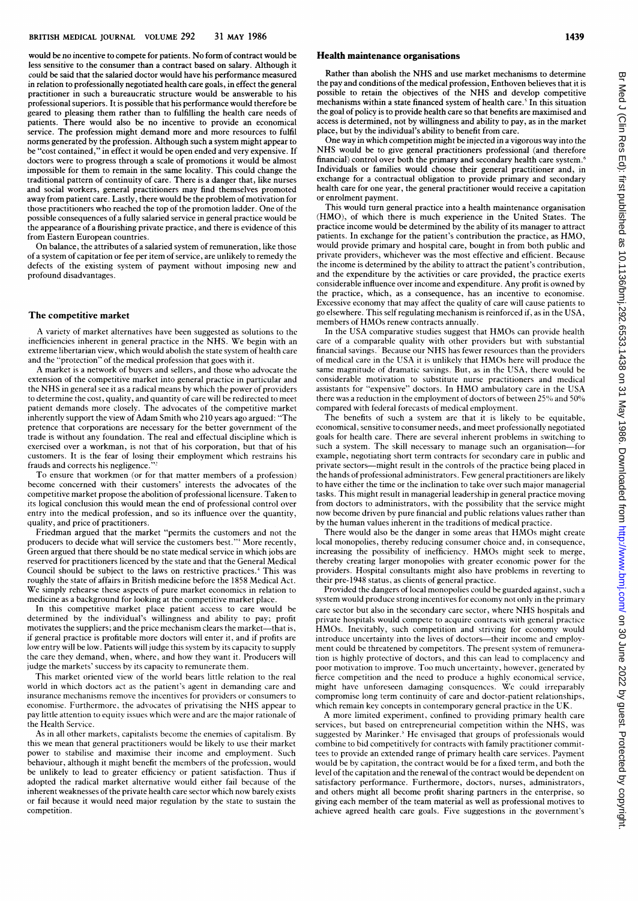would be no incentive to compete for patients. No form of contract would be less sensitive to the consumer than a contract based on salary. Although it could be said that the salaried doctor would have his performance measured in relation to professionally negotiated health care goals, in effect the general practitioner in such a bureaucratic structure would be answerable to his professional superiors. It is possible that his performance would therefore be geared to pleasing them rather than to fulfilling the health care needs of patients. There would also be no incentive to provide an economical service. The profession might demand more and more resources to fulfil norms generated by the profession. Although such <sup>a</sup> system might appear to be "cost contained," in effect it would be open ended and very expensive. If doctors were to progress through <sup>a</sup> scale of promotions it would be almost impossible for them to remain in the same locality. This could change the traditional pattern of continuity of care. There is a danger that, like nurses and social workers, general practitioners may find themselves promoted away from patient care. Lastly, there would be the problem of motivation for those practitioners who reached the top of the promotion ladder. One of the possible consequences of <sup>a</sup> fully salaried service in general practice would be the appearance of a flourishing private practice, and there is evidence of this from Eastern European countries.

On balance, the attributes of <sup>a</sup> salaried system of remuneration, like those of a system of capitation or fee per item of service, are unlikely to remedy the defects of the existing system of payment without imposing new and profound disadvantages.

#### The competitive market

A variety of market alternatives have been suggested as solutions to the inefficiencies inherent in general practice in the NHS. We begin with an extreme libertarian view, which would abolish the state system of health care and the "protection" of the medical profession that goes with it.

A market is <sup>a</sup> network of buyers and sellers, and those who advocate the extension of the competitive market into general practice in particular and the NHS in general see it as <sup>a</sup> radical means by which the power of providers to determine the cost, quality, and quantity of care will be redirected to meet patient demands more closely. The advocates of the competitive market inherently support the view of Adam Smith who 210 years ago argued: "The pretence that corporations are necessary for the better government of the trade is without anv foundation. The real and effectual discipline which is exercised over <sup>a</sup> workman, is not that of his corporation, but that of his customers. It is the fear of losing their employment which restrains his frauds and corrects his negligence.

To ensure that workmen (or for that matter members of <sup>a</sup> profession) become concerned with their customers' interests the advocates of the competitive market propose the abolition of professional licensure. Taken to its logical conclusion this would mean the end of professional control over entry into the medical profession, and so its influence over the quantity, quality, and price of practitioners.

Friedman argued that the market "permits the customers and not the producers to decide what will service the customers best."' More recently, Green argued that there should be no state medical service in which jobs are reserved for practitioners licenced by the state and that the General Medical Council should be subject to the laws on restrictive practices.4 This was roughly the state of affairs in British medicine before the 1858 Medical Act. We simply rehearse these aspects of pure market economics in relation to medicine as a background for looking at the competitive market place.

In this competitive market place patient access to care would be determined by the individual's willingness and ability to pay; profit motivates the suppliers; and the price mechanism clears the market—that is, if general practice is profitable more doctors will enter it, and if profits are low entry will be low. Patients will judge this system by its capacity to supply the care they demand, when, where, and how they want it. Producers will judge the markets' success by its capacity to remunerate them.

This market oriented view of the world bears little relation to the real world in which doctors act as the patient's agent in demanding care and insurance mechanisms remove the incentives for providers or consumers to economise. Furthermore, the advocates of privatising the NHS appear to pay little attention to equity issues which were and are the major rationale of the Health Service.

As in all other markets, capitalists become the enemies of capitalism. By this we mean that general practitioners would be likely to use their market power to stabilise and maximise their income and employment. Such behaviour, although it might benefit the members of the profession, would be unlikely to lead to greater efficiency or patient satisfaction. Thus if adopted the radical market alternative would either fail because of the inherent weaknesses of the private health care sector which now barely exists or fail because it would need major regulation by the state to sustain the competition.

### Health maintenance organisations

Rather than abolish the NHS and use market mechanisms to determine the pay and conditions of the medical profession, Enthoven believes that it is possible to retain the objectives of the NHS and develop competitive mechanisms within a state financed system of health care.' In this situation the goal of policy is to provide health care so that benefits are maximised and access is determined, not by willingness and ability to pay, as in the market place, but by the individual's ability to benefit from care.

One way in which competition might be injected in <sup>a</sup> vigorous way into the NHS would be to give general practitioners professional (and therefore financial) control over both the primary and secondary health care system.<sup>6</sup> Individuals or families would choose their general practitioner and, in exchange for a contractual obligation to provide primary and secondary health care for one year, the general practitioner would receive a capitation or enrolment payment.

This would turn general practice into a health maintenance organisation (HMO), of which there is much experience in the United States. The practice income would be determined by the ability of its manager to attract patients. In exchange for the patient's contribution the practice, as HMO, would provide primary and hospital care, bought in from both public and private providers, whichever was the most effective and efficient. Because the income is determined by the ability to attract the patient's contribution, and the expenditure by the activities or care provided, the practice exerts considerable influence over income and expenditure. Any profit is owned by the practice, which, as a consequence, has an incentive to economise. Excessive economy that may affect the quality of care will cause patients to go elsewhere. This self regulating mechanism is reinforced if, as in the USA, members of HMOs renew contracts annually.

In the USA comparative studies suggest that HMOs can provide health care of a comparable quality with other providers but with substantial financial savings.<sup>7</sup> Because our NHS has fewer resources than the providers of medical care in the USA it is unlikely that HMOs here will produce the same magnitude of dramatic savings. But, as in the USA, there would be considerable motivation to substitute nurse practitioners and medical assistants for "expensive" doctors. In HMO ambulatory care in the USA there was a reduction in the employment of doctors of between 25% and 50% compared with federal forecasts of medical employment.

The benefits of such <sup>a</sup> system are that it is likely to be equitable, economical, sensitive to consumer needs, and meet professionally negotiated goals for health care. There are several inherent problems in switching to such a system. The skill necessary to manage such an organisation---example, negotiating short term contracts for secondary care in public and private sectors-might result in the controls of the practice being placed in the hands of professional administrators. Few general practitioners are likely to have either the time or the inclination to take over such major managerial tasks. This might result in managerial leadership in general practice moving from doctors to administrators, with the possibility that the service might now become driven by pure financial and public relations values rather than by the human values inherent in the traditions of medical practice.

There would also be the danger in some areas that HMOs might create local monopolies, thereby reducing consumer choice and, in consequence, increasing the possibility of inefficiency. HMOs might seek to merge, thereby creating larger monopolies with greater economic power for the providers. Hospital consultants might also have problems in reverting to their pre- 1948 status, as clients of general practice.

Provided the dangers of local monopolies could be guarded against, such a system would produce strong incentives for economy not only in the primary care sector but also in the secondary care sector, where NHS hospitals and private hospitals would compete to acquire contracts with general practice HMOs. Inevitably, such competition and striving for economy would introduce uncertainty into the lives of doctors-their income and employment could be threatened by competitors. The present system of remuneration is highly protective of doctors, and this can lead to complacency and poor motivation to improve. Too much uncertainty, however, generated by fierce competition and the need to produce <sup>a</sup> highly economical service, might have unforeseen damaging consquences. We could irreparably compromise long term continuity of care and doctor-patient relationships, which remain key concepts in contemporary general practice in the UK.

A more limited experiment, confined to providing primary health care services, but based on entrepreneurial competition within the NHS, was suggested by Marinker.' He envisaged that groups of professionals would combine to bid competitively for contracts with family practitioner committees to provide an extended range of primary health care services. Payment would be by capitation, the contract would be for a fixed term, and both the level of the capitation and the renewal of the contract would be dependent on satisfactory performance. Furthermore, doctors, nurses, administrators, and others might all become profit sharing partners in the enterprise, so giving each member of the team material as well as professional motives to achieve agreed health care goals. Five suggestions in the government's